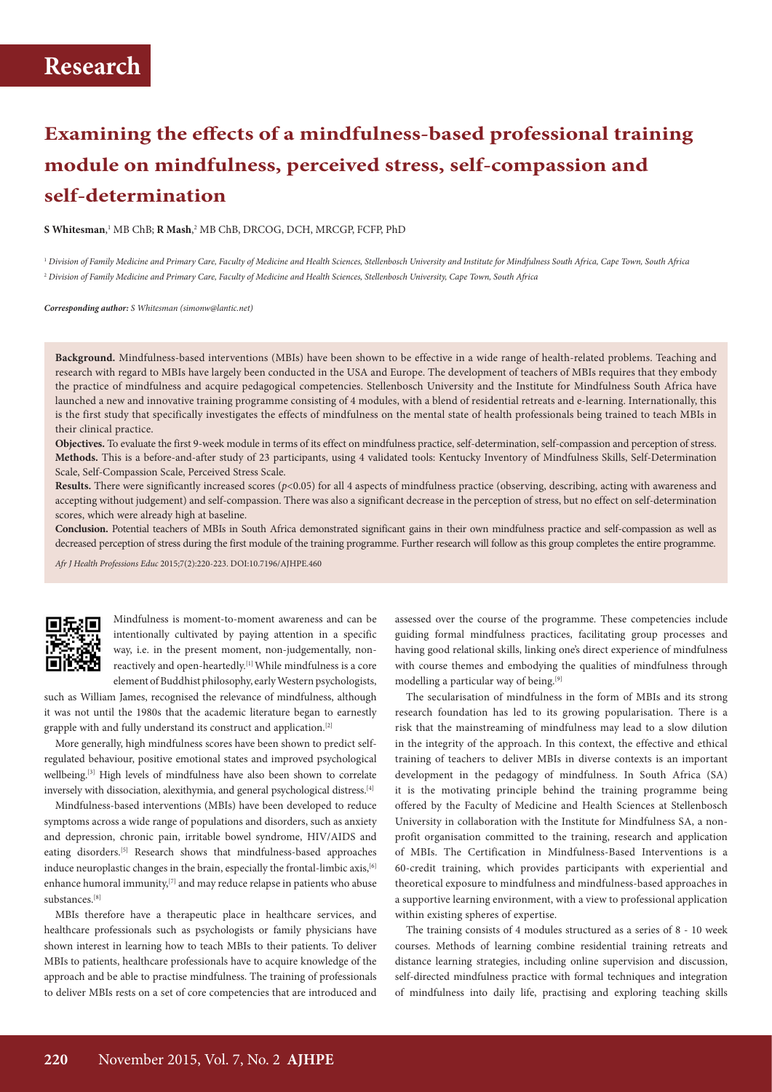# **Examining the effects of a mindfulness-based professional training module on mindfulness, perceived stress, self-compassion and self-determination**

**S Whitesman**, 1 MB ChB; **R Mash**, 2 MB ChB, DRCOG, DCH, MRCGP, FCFP, PhD

<sup>1</sup> *Division of Family Medicine and Primary Care, Faculty of Medicine and Health Sciences, Stellenbosch University and Institute for Mindfulness South Africa, Cape Town, South Africa* <sup>2</sup> *Division of Family Medicine and Primary Care, Faculty of Medicine and Health Sciences, Stellenbosch University, Cape Town, South Africa*

*Corresponding author: S Whitesman (simonw@lantic.net)*

**Background.** Mindfulness-based interventions (MBIs) have been shown to be effective in a wide range of health-related problems. Teaching and research with regard to MBIs have largely been conducted in the USA and Europe. The development of teachers of MBIs requires that they embody the practice of mindfulness and acquire pedagogical competencies. Stellenbosch University and the Institute for Mindfulness South Africa have launched a new and innovative training programme consisting of 4 modules, with a blend of residential retreats and e-learning. Internationally, this is the first study that specifically investigates the effects of mindfulness on the mental state of health professionals being trained to teach MBIs in their clinical practice.

**Objectives.** To evaluate the first 9-week module in terms of its effect on mindfulness practice, self-determination, self-compassion and perception of stress. **Methods.** This is a before-and-after study of 23 participants, using 4 validated tools: Kentucky Inventory of Mindfulness Skills, Self-Determination Scale, Self-Compassion Scale, Perceived Stress Scale.

**Results.** There were significantly increased scores (*p*<0.05) for all 4 aspects of mindfulness practice (observing, describing, acting with awareness and accepting without judgement) and self-compassion. There was also a significant decrease in the perception of stress, but no effect on self-determination scores, which were already high at baseline.

**Conclusion.** Potential teachers of MBIs in South Africa demonstrated significant gains in their own mindfulness practice and self-compassion as well as decreased perception of stress during the first module of the training programme. Further research will follow as this group completes the entire programme.

*Afr J Health Professions Educ* 2015;7(2):220-223. DOI:10.7196/AJHPE.460



Mindfulness is moment-to-moment awareness and can be intentionally cultivated by paying attention in a specific way, i.e. in the present moment, non-judgementally, nonreactively and open-heartedly.[1] While mindfulness is a core element of Buddhist philosophy, early Western psychologists,

such as William James, recognised the relevance of mindfulness, although it was not until the 1980s that the academic literature began to earnestly grapple with and fully understand its construct and application.[2]

More generally, high mindfulness scores have been shown to predict selfregulated behaviour, positive emotional states and improved psychological wellbeing.<sup>[3]</sup> High levels of mindfulness have also been shown to correlate inversely with dissociation, alexithymia, and general psychological distress.<sup>[4]</sup>

Mindfulness-based interventions (MBIs) have been developed to reduce symptoms across a wide range of populations and disorders, such as anxiety and depression, chronic pain, irritable bowel syndrome, HIV/AIDS and eating disorders.[5] Research shows that mindfulness-based approaches induce neuroplastic changes in the brain, especially the frontal-limbic axis, [6] enhance humoral immunity, $[7]$  and may reduce relapse in patients who abuse substances.[8]

MBIs therefore have a therapeutic place in healthcare services, and healthcare professionals such as psychologists or family physicians have shown interest in learning how to teach MBIs to their patients. To deliver MBIs to patients, healthcare professionals have to acquire knowledge of the approach and be able to practise mindfulness. The training of professionals to deliver MBIs rests on a set of core competencies that are introduced and

assessed over the course of the programme. These competencies include guiding formal mindfulness practices, facilitating group processes and having good relational skills, linking one's direct experience of mindfulness with course themes and embodying the qualities of mindfulness through modelling a particular way of being.<sup>[9]</sup>

The secularisation of mindfulness in the form of MBIs and its strong research foundation has led to its growing popularisation. There is a risk that the mainstreaming of mindfulness may lead to a slow dilution in the integrity of the approach. In this context, the effective and ethical training of teachers to deliver MBIs in diverse contexts is an important development in the pedagogy of mindfulness. In South Africa (SA) it is the motivating principle behind the training programme being offered by the Faculty of Medicine and Health Sciences at Stellenbosch University in collaboration with the Institute for Mindfulness SA, a nonprofit organisation committed to the training, research and application of MBIs. The Certification in Mindfulness-Based Interventions is a 60-credit training, which provides participants with experiential and theoretical exposure to mindfulness and mindfulness-based approaches in a supportive learning environment, with a view to professional application within existing spheres of expertise.

The training consists of 4 modules structured as a series of 8 - 10 week courses. Methods of learning combine residential training retreats and distance learning strategies, including online supervision and discussion, self-directed mindfulness practice with formal techniques and integration of mindfulness into daily life, practising and exploring teaching skills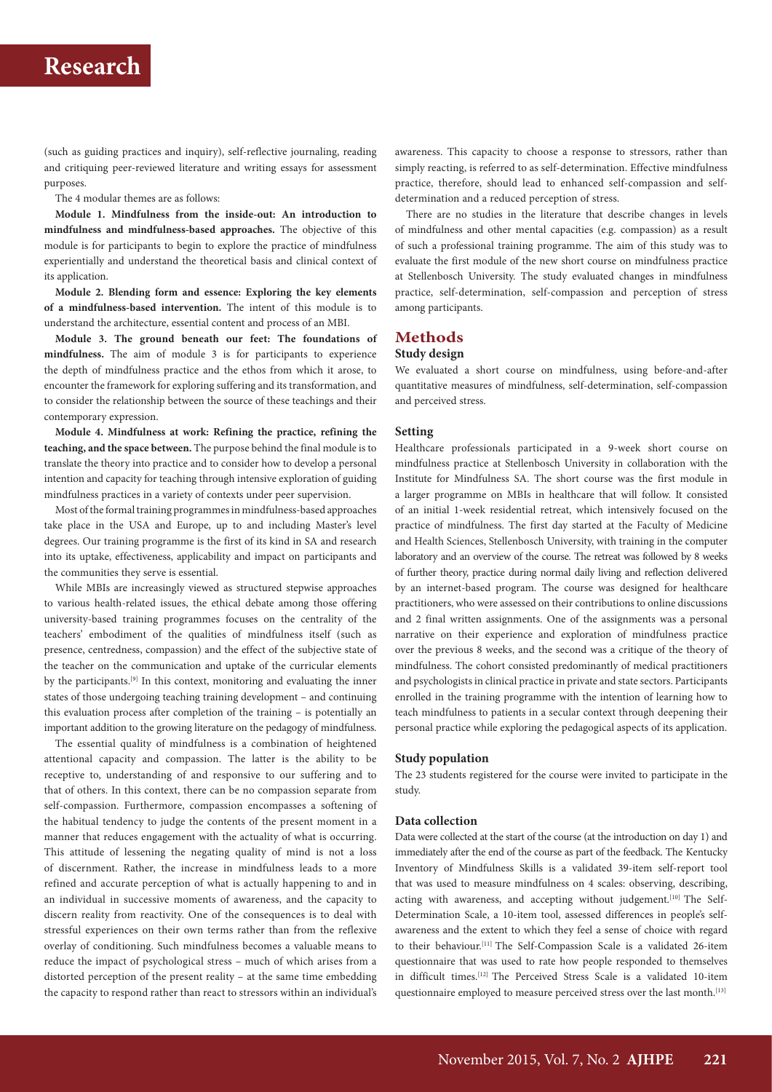(such as guiding practices and inquiry), self-reflective journaling, reading and critiquing peer-reviewed literature and writing essays for assessment purposes.

The 4 modular themes are as follows:

**Module 1. Mindfulness from the inside-out: An introduction to mindfulness and mindfulness-based approaches.** The objective of this module is for participants to begin to explore the practice of mindfulness experientially and understand the theoretical basis and clinical context of its application.

**Module 2. Blending form and essence: Exploring the key elements of a mindfulness-based intervention.** The intent of this module is to understand the architecture, essential content and process of an MBI.

**Module 3. The ground beneath our feet: The foundations of mindfulness.** The aim of module 3 is for participants to experience the depth of mindfulness practice and the ethos from which it arose, to encounter the framework for exploring suffering and its transformation, and to consider the relationship between the source of these teachings and their contemporary expression.

**Module 4. Mindfulness at work: Refining the practice, refining the teaching, and the space between.** The purpose behind the final module is to translate the theory into practice and to consider how to develop a personal intention and capacity for teaching through intensive exploration of guiding mindfulness practices in a variety of contexts under peer supervision.

Most of the formal training programmes in mindfulness-based approaches take place in the USA and Europe, up to and including Master's level degrees. Our training programme is the first of its kind in SA and research into its uptake, effectiveness, applicability and impact on participants and the communities they serve is essential.

While MBIs are increasingly viewed as structured stepwise approaches to various health-related issues, the ethical debate among those offering university-based training programmes focuses on the centrality of the teachers' embodiment of the qualities of mindfulness itself (such as presence, centredness, compassion) and the effect of the subjective state of the teacher on the communication and uptake of the curricular elements by the participants.[9] In this context, monitoring and evaluating the inner states of those undergoing teaching training development – and continuing this evaluation process after completion of the training – is potentially an important addition to the growing literature on the pedagogy of mindfulness.

The essential quality of mindfulness is a combination of heightened attentional capacity and compassion. The latter is the ability to be receptive to, understanding of and responsive to our suffering and to that of others. In this context, there can be no compassion separate from self-compassion. Furthermore, compassion encompasses a softening of the habitual tendency to judge the contents of the present moment in a manner that reduces engagement with the actuality of what is occurring. This attitude of lessening the negating quality of mind is not a loss of discernment. Rather, the increase in mindfulness leads to a more refined and accurate perception of what is actually happening to and in an individual in successive moments of awareness, and the capacity to discern reality from reactivity. One of the consequences is to deal with stressful experiences on their own terms rather than from the reflexive overlay of conditioning. Such mindfulness becomes a valuable means to reduce the impact of psychological stress – much of which arises from a distorted perception of the present reality – at the same time embedding the capacity to respond rather than react to stressors within an individual's

awareness. This capacity to choose a response to stressors, rather than simply reacting, is referred to as self-determination. Effective mindfulness practice, therefore, should lead to enhanced self-compassion and selfdetermination and a reduced perception of stress.

There are no studies in the literature that describe changes in levels of mindfulness and other mental capacities (e.g. compassion) as a result of such a professional training programme. The aim of this study was to evaluate the first module of the new short course on mindfulness practice at Stellenbosch University. The study evaluated changes in mindfulness practice, self-determination, self-compassion and perception of stress among participants.

#### **Methods**

#### **Study design**

We evaluated a short course on mindfulness, using before-and-after quantitative measures of mindfulness, self-determination, self-compassion and perceived stress.

#### **Setting**

Healthcare professionals participated in a 9-week short course on mindfulness practice at Stellenbosch University in collaboration with the Institute for Mindfulness SA. The short course was the first module in a larger programme on MBIs in healthcare that will follow. It consisted of an initial 1-week residential retreat, which intensively focused on the practice of mindfulness. The first day started at the Faculty of Medicine and Health Sciences, Stellenbosch University, with training in the computer laboratory and an overview of the course. The retreat was followed by 8 weeks of further theory, practice during normal daily living and reflection delivered by an internet-based program. The course was designed for healthcare practitioners, who were assessed on their contributions to online discussions and 2 final written assignments. One of the assignments was a personal narrative on their experience and exploration of mindfulness practice over the previous 8 weeks, and the second was a critique of the theory of mindfulness. The cohort consisted predominantly of medical practitioners and psychologists in clinical practice in private and state sectors. Participants enrolled in the training programme with the intention of learning how to teach mindfulness to patients in a secular context through deepening their personal practice while exploring the pedagogical aspects of its application.

#### **Study population**

The 23 students registered for the course were invited to participate in the study.

#### **Data collection**

Data were collected at the start of the course (at the introduction on day 1) and immediately after the end of the course as part of the feedback. The Kentucky Inventory of Mindfulness Skills is a validated 39-item self-report tool that was used to measure mindfulness on 4 scales: observing, describing, acting with awareness, and accepting without judgement.<sup>[10]</sup> The Self-Determination Scale, a 10-item tool, assessed differences in people's selfawareness and the extent to which they feel a sense of choice with regard to their behaviour.<sup>[11]</sup> The Self-Compassion Scale is a validated 26-item questionnaire that was used to rate how people responded to themselves in difficult times.[12] The Perceived Stress Scale is a validated 10-item questionnaire employed to measure perceived stress over the last month.<sup>[13]</sup>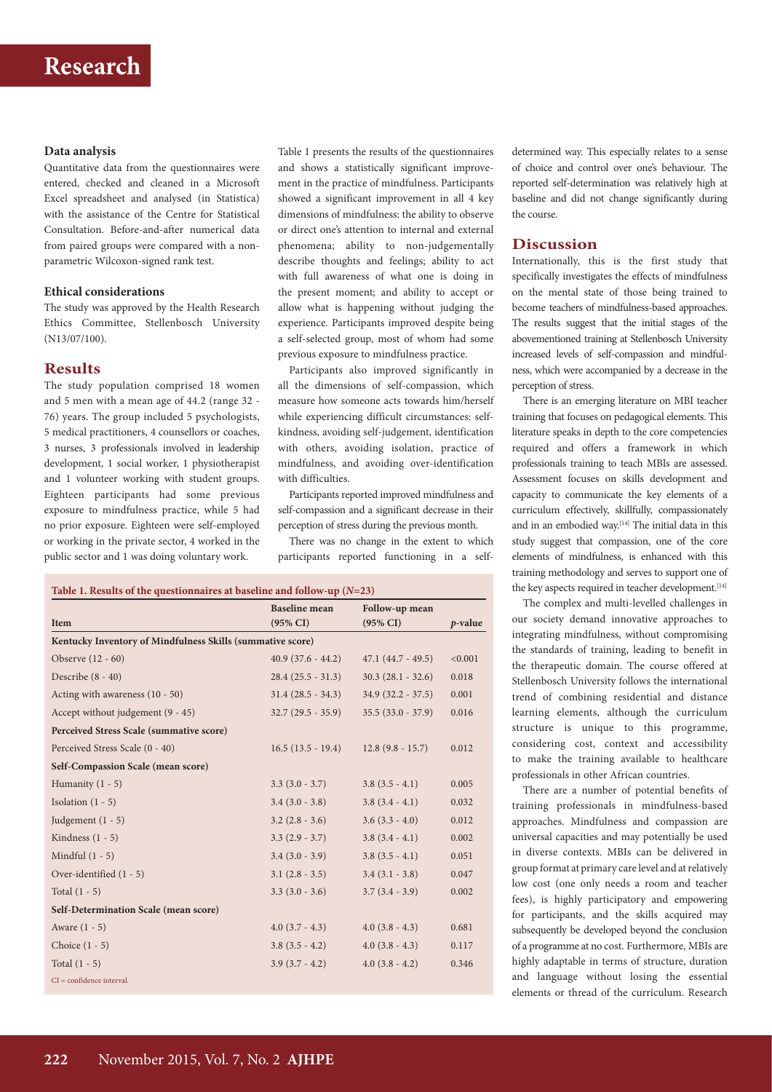#### **Data analysis**

Quantitative data from the questionnaires were entered, checked and cleaned in a Microsoft Excel spreadsheet and analysed (in Statistica) with the assistance of the Centre for Statistical Consultation. Before-and-after numerical data from paired groups were compared with a nonparametric Wilcoxon-signed rank test.

#### **Ethical considerations**

The study was approved by the Health Research Ethics Committee, Stellenbosch University (N13/07/100).

#### **Results**

The study population comprised 18 women and 5 men with a mean age of 44.2 (range 32 - 76) years. The group included 5 psychologists, 5 medical practitioners, 4 counsellors or coaches, 3 nurses, 3 professionals involved in leadership development, 1 social worker, 1 physiotherapist and 1 volunteer working with student groups. Eighteen participants had some previous exposure to mindfulness practice, while 5 had no prior exposure. Eighteen were self-employed or working in the private sector, 4 worked in the public sector and 1 was doing voluntary work.

Table 1 presents the results of the questionnaires and shows a statistically significant improvement in the practice of mindfulness. Participants showed a significant improvement in all 4 key dimensions of mindfulness: the ability to observe or direct one's attention to internal and external phenomena; ability to non-judgementally describe thoughts and feelings; ability to act with full awareness of what one is doing in the present moment; and ability to accept or allow what is happening without judging the experience. Participants improved despite being a self-selected group, most of whom had some previous exposure to mindfulness practice.

Participants also improved significantly in all the dimensions of self-compassion, which measure how someone acts towards him/herself while experiencing difficult circumstances: selfkindness, avoiding self-judgement, identification with others, avoiding isolation, practice of mindfulness, and avoiding over-identification with difficulties.

Participants reported improved mindfulness and self-compassion and a significant decrease in their perception of stress during the previous month.

There was no change in the extent to which participants reported functioning in a self-

#### **Table 1. Results of the questionnaires at baseline and follow-up (***N***=23)**

|                                                            | <b>Baseline</b> mean | Follow-up mean       |            |
|------------------------------------------------------------|----------------------|----------------------|------------|
| Item                                                       | $(95\% \text{ CI})$  | $(95\% \text{ CI})$  | $p$ -value |
| Kentucky Inventory of Mindfulness Skills (summative score) |                      |                      |            |
| Observe (12 - 60)                                          | $40.9(37.6 - 44.2)$  | $47.1 (44.7 - 49.5)$ | < 0.001    |
| Describe $(8 - 40)$                                        | $28.4(25.5 - 31.3)$  | $30.3(28.1 - 32.6)$  | 0.018      |
| Acting with awareness (10 - 50)                            | $31.4(28.5 - 34.3)$  | $34.9(32.2 - 37.5)$  | 0.001      |
| Accept without judgement (9 - 45)                          | $32.7(29.5 - 35.9)$  | $35.5(33.0 - 37.9)$  | 0.016      |
| Perceived Stress Scale (summative score)                   |                      |                      |            |
| Perceived Stress Scale (0 - 40)                            | $16.5(13.5 - 19.4)$  | $12.8(9.8 - 15.7)$   | 0.012      |
| Self-Compassion Scale (mean score)                         |                      |                      |            |
| Humanity $(1 - 5)$                                         | $3.3(3.0 - 3.7)$     | $3.8(3.5 - 4.1)$     | 0.005      |
| Isolation $(1 - 5)$                                        | $3.4(3.0 - 3.8)$     | $3.8(3.4 - 4.1)$     | 0.032      |
| Judgement $(1 - 5)$                                        | $3.2$ $(2.8 - 3.6)$  | $3.6(3.3 - 4.0)$     | 0.012      |
| Kindness $(1 - 5)$                                         | $3.3(2.9 - 3.7)$     | $3.8(3.4 - 4.1)$     | 0.002      |
| Mindful $(1 - 5)$                                          | $3.4(3.0 - 3.9)$     | $3.8(3.5 - 4.1)$     | 0.051      |
| Over-identified (1 - 5)                                    | $3.1(2.8 - 3.5)$     | $3.4(3.1 - 3.8)$     | 0.047      |
| Total $(1 - 5)$                                            | $3.3(3.0 - 3.6)$     | $3.7(3.4 - 3.9)$     | 0.002      |
| Self-Determination Scale (mean score)                      |                      |                      |            |
| Aware $(1 - 5)$                                            | $4.0(3.7 - 4.3)$     | $4.0(3.8 - 4.3)$     | 0.681      |
| Choice $(1 - 5)$                                           | $3.8(3.5 - 4.2)$     | $4.0$ $(3.8 - 4.3)$  | 0.117      |
| Total $(1 - 5)$                                            | $3.9(3.7 - 4.2)$     | $4.0(3.8 - 4.2)$     | 0.346      |
| $CI = confidence$ interval.                                |                      |                      |            |

determined way. This especially relates to a sense of choice and control over one's behaviour. The reported self-determination was relatively high at baseline and did not change significantly during the course.

#### **Discussion**

Internationally, this is the first study that specifically investigates the effects of mindfulness on the mental state of those being trained to become teachers of mindfulness-based approaches. The results suggest that the initial stages of the abovementioned training at Stellenbosch University increased levels of self-compassion and mindfulness, which were accompanied by a decrease in the perception of stress.

There is an emerging literature on MBI teacher training that focuses on pedagogical elements. This literature speaks in depth to the core competencies required and offers a framework in which professionals training to teach MBIs are assessed. Assessment focuses on skills development and capacity to communicate the key elements of a curriculum effectively, skillfully, compassionately and in an embodied way.<sup>[14]</sup> The initial data in this study suggest that compassion, one of the core elements of mindfulness, is enhanced with this training methodology and serves to support one of the key aspects required in teacher development.<sup>[14]</sup>

The complex and multi-levelled challenges in our society demand innovative approaches to integrating mindfulness, without compromising the standards of training, leading to benefit in the therapeutic domain. The course offered at Stellenbosch University follows the international trend of combining residential and distance learning elements, although the curriculum structure is unique to this programme, considering cost, context and accessibility to make the training available to healthcare professionals in other African countries.

There are a number of potential benefits of training professionals in mindfulness-based approaches. Mindfulness and compassion are universal capacities and may potentially be used in diverse contexts. MBIs can be delivered in group format at primary care level and at relatively low cost (one only needs a room and teacher fees), is highly participatory and empowering for participants, and the skills acquired may subsequently be developed beyond the conclusion of a programme at no cost. Furthermore, MBIs are highly adaptable in terms of structure, duration and language without losing the essential elements or thread of the curriculum. Research